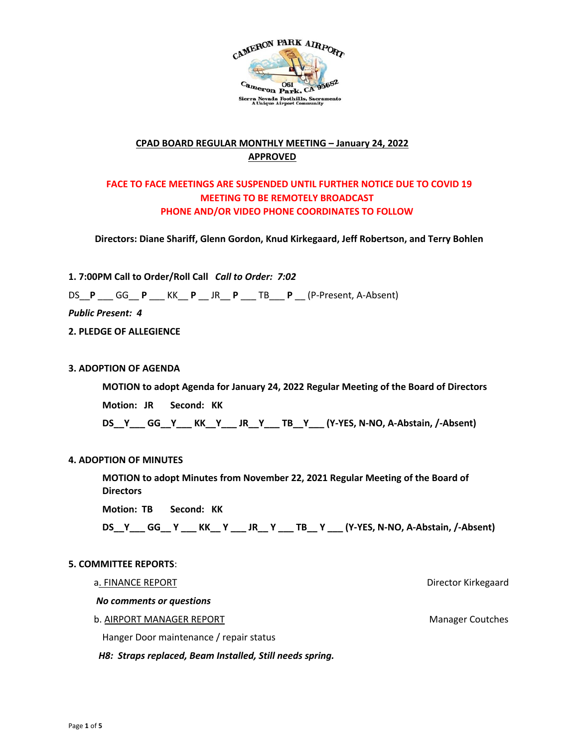

# **CPAD BOARD REGULAR MONTHLY MEETING – January 24, 2022 APPROVED**

# **FACE TO FACE MEETINGS ARE SUSPENDED UNTIL FURTHER NOTICE DUE TO COVID 19 MEETING TO BE REMOTELY BROADCAST PHONE AND/OR VIDEO PHONE COORDINATES TO FOLLOW**

**Directors: Diane Shariff, Glenn Gordon, Knud Kirkegaard, Jeff Robertson, and Terry Bohlen**

**1. 7:00PM Call to Order/Roll Call** *Call to Order: 7:02*

DS\_\_**P** \_\_\_ GG\_\_ **P** \_\_\_ KK\_\_ **P** \_\_ JR\_\_ **P** \_\_\_ TB\_\_\_ **P** \_\_ (P-Present, A-Absent)

*Public Present: 4*

**2. PLEDGE OF ALLEGIENCE** 

### **3. ADOPTION OF AGENDA**

**MOTION to adopt Agenda for January 24, 2022 Regular Meeting of the Board of Directors** 

**Motion: JR Second: KK**

**DS\_\_Y\_\_\_ GG\_\_Y\_\_\_ KK\_\_Y\_\_\_ JR\_\_Y\_\_\_ TB\_\_Y\_\_\_ (Y-YES, N-NO, A-Abstain, /-Absent)** 

## **4. ADOPTION OF MINUTES**

**MOTION to adopt Minutes from November 22, 2021 Regular Meeting of the Board of Directors** 

**Motion: TB Second: KK**

**DS\_\_Y\_\_\_ GG\_\_ Y \_\_\_ KK\_\_ Y \_\_\_ JR\_\_ Y \_\_\_ TB\_\_ Y \_\_\_ (Y-YES, N-NO, A-Abstain, /-Absent)** 

#### **5. COMMITTEE REPORTS**:

a. FINANCE REPORT **EXECUTE:** The state of the state of the state of the state of the state of the state of the state of the state of the state of the state of the state of the state of the state of the state of the state o *No comments or questions*  b. AIRPORT MANAGER REPORT Manager Coutches

Hanger Door maintenance / repair status

 *H8: Straps replaced, Beam Installed, Still needs spring.*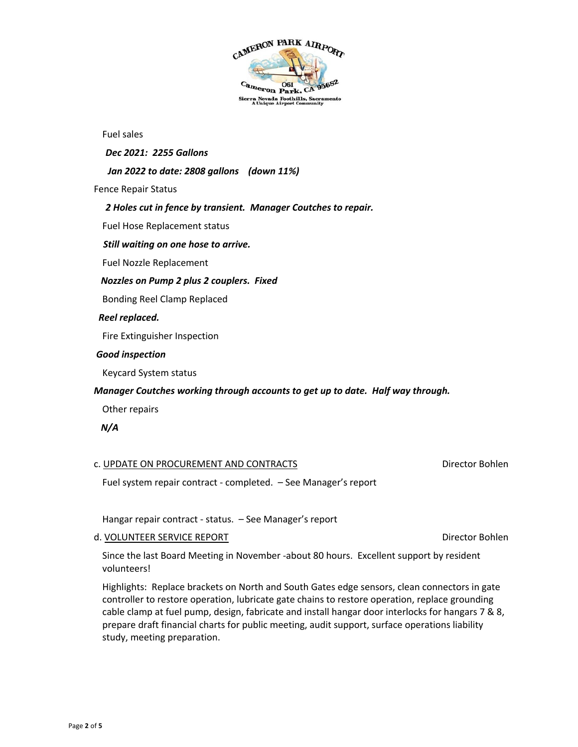

Fuel sales

 *Dec 2021: 2255 Gallons*

 *Jan 2022 to date: 2808 gallons (down 11%)* 

Fence Repair Status

#### *2 Holes cut in fence by transient. Manager Coutches to repair.*

Fuel Hose Replacement status

 *Still waiting on one hose to arrive.* 

Fuel Nozzle Replacement

#### *Nozzles on Pump 2 plus 2 couplers. Fixed*

Bonding Reel Clamp Replaced

#### *Reel replaced.*

Fire Extinguisher Inspection

#### *Good inspection*

Keycard System status

### *Manager Coutches working through accounts to get up to date. Half way through.*

Other repairs

## *N/A*

### c. UPDATE ON PROCUREMENT AND CONTRACTS CONTRACTS Director Bohlen

Fuel system repair contract - completed. – See Manager's report

Hangar repair contract - status. – See Manager's report

#### d. VOLUNTEER SERVICE REPORT DIRECTOR DIRECTOR DIRECTOR DIRECTOR BOHLEN

Since the last Board Meeting in November -about 80 hours. Excellent support by resident volunteers!

Highlights: Replace brackets on North and South Gates edge sensors, clean connectors in gate controller to restore operation, lubricate gate chains to restore operation, replace grounding cable clamp at fuel pump, design, fabricate and install hangar door interlocks for hangars 7 & 8, prepare draft financial charts for public meeting, audit support, surface operations liability study, meeting preparation.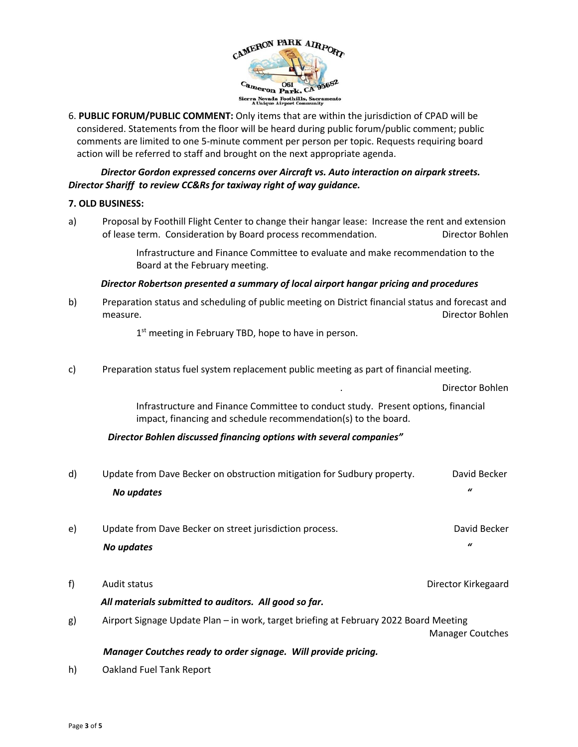

6. **PUBLIC FORUM/PUBLIC COMMENT:** Only items that are within the jurisdiction of CPAD will be considered. Statements from the floor will be heard during public forum/public comment; public comments are limited to one 5-minute comment per person per topic. Requests requiring board action will be referred to staff and brought on the next appropriate agenda.

## *Director Gordon expressed concerns over Aircraft vs. Auto interaction on airpark streets. Director Shariff to review CC&Rs for taxiway right of way guidance.*

## **7. OLD BUSINESS:**

a) Proposal by Foothill Flight Center to change their hangar lease: Increase the rent and extension of lease term. Consideration by Board process recommendation. Director Bohlen

> Infrastructure and Finance Committee to evaluate and make recommendation to the Board at the February meeting.

## *Director Robertson presented a summary of local airport hangar pricing and procedures*

b) Preparation status and scheduling of public meeting on District financial status and forecast and measure. **Director Bohlen** 

1<sup>st</sup> meeting in February TBD, hope to have in person.

c) Preparation status fuel system replacement public meeting as part of financial meeting.

. Director Bohlen

Infrastructure and Finance Committee to conduct study. Present options, financial impact, financing and schedule recommendation(s) to the board.

## *Director Bohlen discussed financing options with several companies"*

- d) Update from Dave Becker on obstruction mitigation for Sudbury property. David Becker  *No updates "*
- e) Update from Dave Becker on street jurisdiction process. David Becker  *No updates "*
- f) Audit status Director Kirkegaard  *All materials submitted to auditors. All good so far.*  g) Airport Signage Update Plan – in work, target briefing at February 2022 Board Meeting

Manager Coutches

 *Manager Coutches ready to order signage. Will provide pricing.* 

h) Oakland Fuel Tank Report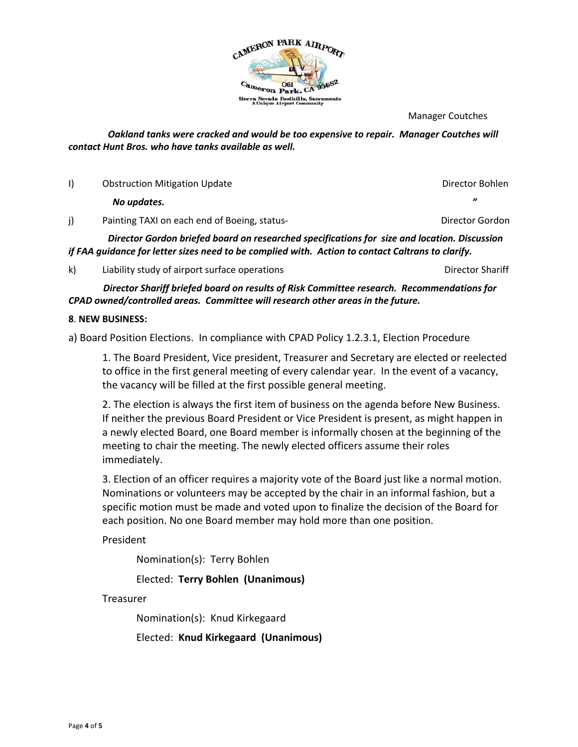

Manager Coutches

 *Oakland tanks were cracked and would be too expensive to repair. Manager Coutches will contact Hunt Bros. who have tanks available as well.* 

I) Obstruction Mitigation Update **Director Bohlen** Director Bohlen

 *No updates. "*

j) Painting TAXI on each end of Boeing, status- Director Gordon Director Gordon

 *Director Gordon briefed board on researched specifications for size and location. Discussion if FAA guidance for letter sizes need to be complied with. Action to contact Caltrans to clarify.* 

k) Liability study of airport surface operations Director Shariff Director Shariff

 *Director Shariff briefed board on results of Risk Committee research. Recommendations for CPAD owned/controlled areas. Committee will research other areas in the future.* 

## **8**. **NEW BUSINESS:**

a) Board Position Elections. In compliance with CPAD Policy 1.2.3.1, Election Procedure

1. The Board President, Vice president, Treasurer and Secretary are elected or reelected to office in the first general meeting of every calendar year. In the event of a vacancy, the vacancy will be filled at the first possible general meeting.

2. The election is always the first item of business on the agenda before New Business. If neither the previous Board President or Vice President is present, as might happen in a newly elected Board, one Board member is informally chosen at the beginning of the meeting to chair the meeting. The newly elected officers assume their roles immediately.

3. Election of an officer requires a majority vote of the Board just like a normal motion. Nominations or volunteers may be accepted by the chair in an informal fashion, but a specific motion must be made and voted upon to finalize the decision of the Board for each position. No one Board member may hold more than one position.

President

Nomination(s): Terry Bohlen

Elected: **Terry Bohlen (Unanimous)**

Treasurer

Nomination(s): Knud Kirkegaard

Elected: **Knud Kirkegaard (Unanimous)**